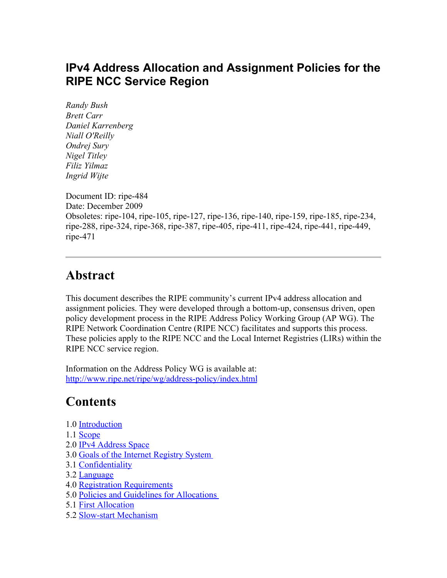### **IPv4 Address Allocation and Assignment Policies for the RIPE NCC Service Region**

*Randy Bush Brett Carr Daniel Karrenberg Niall O'Reilly Ondrej Sury Nigel Titley Filiz Yilmaz Ingrid Wijte*

Document ID: ripe-484 Date: December 2009 Obsoletes: ripe-104, ripe-105, ripe-127, ripe-136, ripe-140, ripe-159, ripe-185, ripe-234, ripe-288, ripe-324, ripe-368, ripe-387, ripe-405, ripe-411, ripe-424, ripe-441, ripe-449, ripe-471

### **Abstract**

This document describes the RIPE community's current IPv4 address allocation and assignment policies. They were developed through a bottom-up, consensus driven, open policy development process in the RIPE Address Policy Working Group (AP WG). The RIPE Network Coordination Centre (RIPE NCC) facilitates and supports this process. These policies apply to the RIPE NCC and the Local Internet Registries (LIRs) within the RIPE NCC service region.

Information on the Address Policy WG is available at: http://www.ripe.net/ripe/wg/address-policy/index.html

### **Contents**

- 1.0 [Introduction](#page-1-2)
- 1.1 [Scope](#page-1-1)
- 2.0 [IPv4 Address Space](#page-1-0)
- 3.0 [Goals of the Internet Registry System](#page-2-1)
- 3.1 [Confidentiality](#page-2-0)
- 3.2 [Language](#page-3-3)
- 4.0 [Registration Requirements](#page-3-2)
- 5.0 [Policies and Guidelines for Allocations](#page-3-1)
- 5.1 [First Allocation](#page-3-0)
- 5.2 [Slow-start Mechanism](#page-4-0)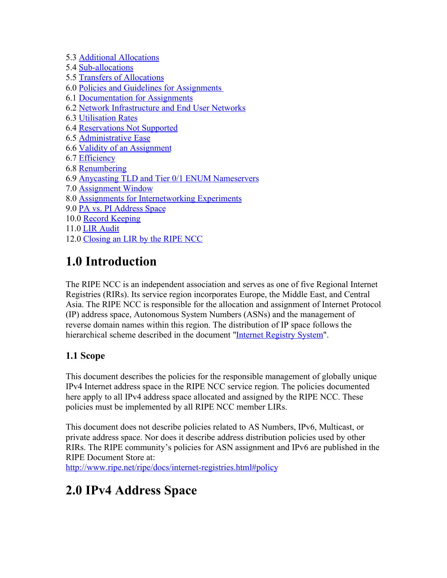- 5.3 [Additional Allocations](#page-4-2)
- 5.4 [Sub-allocations](#page-4-1)
- 5.5 [Transfers of Allocations](#page-6-1)
- 6.0 [Policies and Guidelines for Assignments](#page-6-0)
- 6.1 [Documentation for Assignments](#page-7-1)
- 6.2 [Network Infrastructure and End User Networks](#page-7-0)
- 6.3 [Utilisation Rates](#page-8-3)
- 6.4 [Reservations Not Supported](#page-8-2)
- 6.5 [Administrative Ease](#page-8-1)
- 6.6 [Validity of an Assignment](#page-8-0)
- 6.7 [Efficiency](#page-9-2)
- 6.8 [Renumbering](#page-9-1)
- 6.9 [Anycasting TLD and Tier 0/1 ENUM Nameservers](#page-9-0)
- 7.0 [Assignment Window](#page-10-0)
- 8.0 [Assignments for Internetworking Experiments](#page-11-0)
- 9.0 [PA vs. PI Address Space](#page-12-0)
- 10.0 [Record Keeping](#page-14-0)
- 11.0 [LIR Audit](#page-15-1)
- 12.0 [Closing an LIR by the RIPE NCC](#page-15-0)

# <span id="page-1-2"></span>**1.0 Introduction**

The RIPE NCC is an independent association and serves as one of five Regional Internet Registries (RIRs). Its service region incorporates Europe, the Middle East, and Central Asia. The RIPE NCC is responsible for the allocation and assignment of Internet Protocol (IP) address space, Autonomous System Numbers (ASNs) and the management of reverse domain names within this region. The distribution of IP space follows the hierarchical scheme described in the document ["Internet Registry System"](http://www.ripe.net/info/resource-admin/rir-system.html).

#### <span id="page-1-1"></span>**1.1 Scope**

This document describes the policies for the responsible management of globally unique IPv4 Internet address space in the RIPE NCC service region. The policies documented here apply to all IPv4 address space allocated and assigned by the RIPE NCC. These policies must be implemented by all RIPE NCC member LIRs.

This document does not describe policies related to AS Numbers, IPv6, Multicast, or private address space. Nor does it describe address distribution policies used by other RIRs. The RIPE community's policies for ASN assignment and IPv6 are published in the RIPE Document Store at:

<http://www.ripe.net/ripe/docs/internet-registries.html#policy>

## <span id="page-1-0"></span>**2.0 IPv4 Address Space**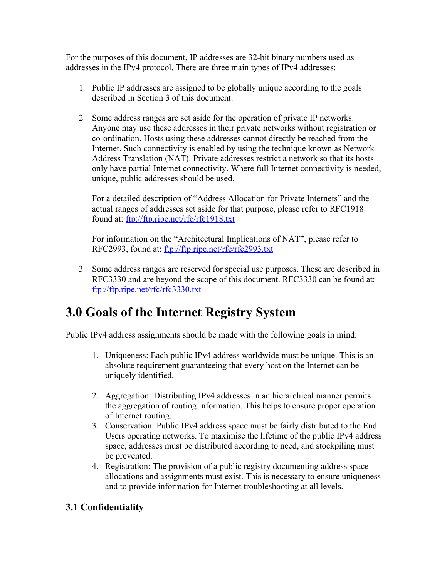For the purposes of this document, IP addresses are 32-bit binary numbers used as addresses in the IPv4 protocol. There are three main types of IPv4 addresses:

- 1 Public IP addresses are assigned to be globally unique according to the goals described in Section 3 of this document.
- 2 Some address ranges are set aside for the operation of private IP networks. Anyone may use these addresses in their private networks without registration or co-ordination. Hosts using these addresses cannot directly be reached from the Internet. Such connectivity is enabled by using the technique known as Network Address Translation (NAT). Private addresses restrict a network so that its hosts only have partial Internet connectivity. Where full Internet connectivity is needed, unique, public addresses should be used.

For a detailed description of "Address Allocation for Private Internets" and the actual ranges of addresses set aside for that purpose, please refer to RFC1918 found at:<ftp://ftp.ripe.net/rfc/rfc1918.txt>

For information on the "Architectural Implications of NAT", please refer to RFC2993, found at:<ftp://ftp.ripe.net/rfc/rfc2993.txt>

3 Some address ranges are reserved for special use purposes. These are described in RFC3330 and are beyond the scope of this document. RFC3330 can be found at: <ftp://ftp.ripe.net/rfc/rfc3330.txt>

## <span id="page-2-1"></span>**3.0 Goals of the Internet Registry System**

Public IPv4 address assignments should be made with the following goals in mind:

- 1. Uniqueness: Each public IPv4 address worldwide must be unique. This is an absolute requirement guaranteeing that every host on the Internet can be uniquely identified.
- 2. Aggregation: Distributing IPv4 addresses in an hierarchical manner permits the aggregation of routing information. This helps to ensure proper operation of Internet routing.
- 3. Conservation: Public IPv4 address space must be fairly distributed to the End Users operating networks. To maximise the lifetime of the public IPv4 address space, addresses must be distributed according to need, and stockpiling must be prevented.
- 4. Registration: The provision of a public registry documenting address space allocations and assignments must exist. This is necessary to ensure uniqueness and to provide information for Internet troubleshooting at all levels.

#### <span id="page-2-0"></span>**3.1 Confidentiality**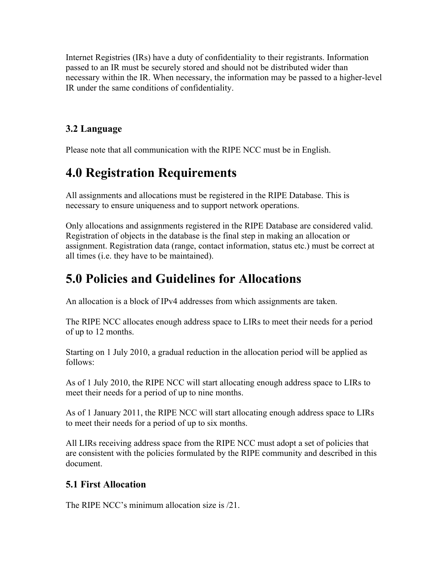Internet Registries (IRs) have a duty of confidentiality to their registrants. Information passed to an IR must be securely stored and should not be distributed wider than necessary within the IR. When necessary, the information may be passed to a higher-level IR under the same conditions of confidentiality.

#### <span id="page-3-3"></span>**3.2 Language**

Please note that all communication with the RIPE NCC must be in English.

### <span id="page-3-2"></span>**4.0 Registration Requirements**

All assignments and allocations must be registered in the RIPE Database. This is necessary to ensure uniqueness and to support network operations.

Only allocations and assignments registered in the RIPE Database are considered valid. Registration of objects in the database is the final step in making an allocation or assignment. Registration data (range, contact information, status etc.) must be correct at all times (i.e. they have to be maintained).

## <span id="page-3-1"></span>**5.0 Policies and Guidelines for Allocations**

An allocation is a block of IPv4 addresses from which assignments are taken.

The RIPE NCC allocates enough address space to LIRs to meet their needs for a period of up to 12 months.

Starting on 1 July 2010, a gradual reduction in the allocation period will be applied as follows:

As of 1 July 2010, the RIPE NCC will start allocating enough address space to LIRs to meet their needs for a period of up to nine months.

As of 1 January 2011, the RIPE NCC will start allocating enough address space to LIRs to meet their needs for a period of up to six months.

All LIRs receiving address space from the RIPE NCC must adopt a set of policies that are consistent with the policies formulated by the RIPE community and described in this document.

#### <span id="page-3-0"></span>**5.1 First Allocation**

The RIPE NCC's minimum allocation size is /21.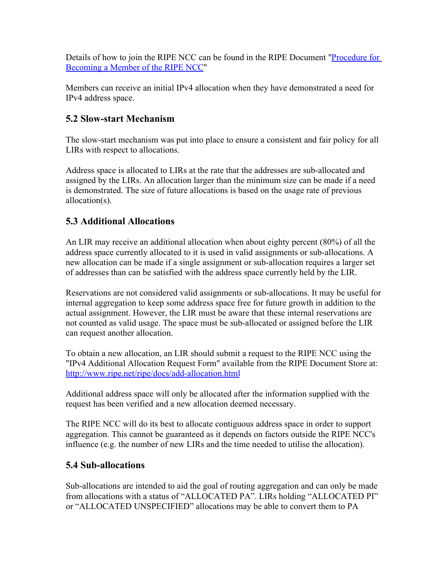Details of how to join the RIPE NCC can be found in the RIPE Document ["Procedure for](http://www.ripe.net/membership/new-members/index.html) [Becoming a Member of the RIPE NCC"](http://www.ripe.net/membership/new-members/index.html)

Members can receive an initial IPv4 allocation when they have demonstrated a need for IPv4 address space.

#### <span id="page-4-0"></span>**5.2 Slow-start Mechanism**

The slow-start mechanism was put into place to ensure a consistent and fair policy for all LIRs with respect to allocations.

Address space is allocated to LIRs at the rate that the addresses are sub-allocated and assigned by the LIRs. An allocation larger than the minimum size can be made if a need is demonstrated. The size of future allocations is based on the usage rate of previous allocation(s).

#### <span id="page-4-2"></span>**5.3 Additional Allocations**

An LIR may receive an additional allocation when about eighty percent (80%) of all the address space currently allocated to it is used in valid assignments or sub-allocations. A new allocation can be made if a single assignment or sub-allocation requires a larger set of addresses than can be satisfied with the address space currently held by the LIR.

Reservations are not considered valid assignments or sub-allocations. It may be useful for internal aggregation to keep some address space free for future growth in addition to the actual assignment. However, the LIR must be aware that these internal reservations are not counted as valid usage. The space must be sub-allocated or assigned before the LIR can request another allocation.

To obtain a new allocation, an LIR should submit a request to the RIPE NCC using the "IPv4 Additional Allocation Request Form" available from the RIPE Document Store at: <http://www.ripe.net/ripe/docs/add-allocation.html>

Additional address space will only be allocated after the information supplied with the request has been verified and a new allocation deemed necessary.

The RIPE NCC will do its best to allocate contiguous address space in order to support aggregation. This cannot be guaranteed as it depends on factors outside the RIPE NCC's influence (e.g. the number of new LIRs and the time needed to utilise the allocation).

#### <span id="page-4-1"></span>**5.4 Sub-allocations**

Sub-allocations are intended to aid the goal of routing aggregation and can only be made from allocations with a status of "ALLOCATED PA". LIRs holding "ALLOCATED PI" or "ALLOCATED UNSPECIFIED" allocations may be able to convert them to PA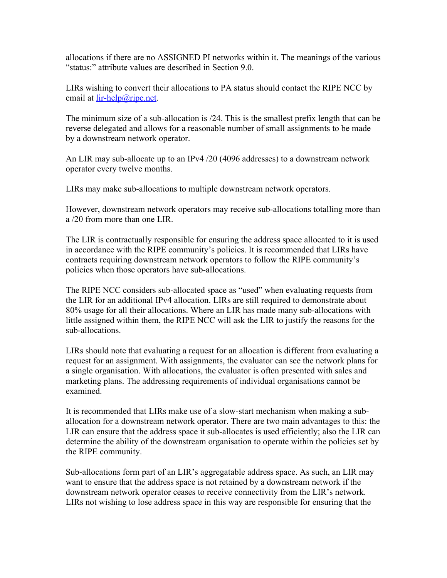allocations if there are no ASSIGNED PI networks within it. The meanings of the various "status:" attribute values are described in Section 9.0.

LIRs wishing to convert their allocations to PA status should contact the RIPE NCC by email at <u>lir-help@ripe.net</u>.

The minimum size of a sub-allocation is /24. This is the smallest prefix length that can be reverse delegated and allows for a reasonable number of small assignments to be made by a downstream network operator.

An LIR may sub-allocate up to an IPv4 /20 (4096 addresses) to a downstream network operator every twelve months.

LIRs may make sub-allocations to multiple downstream network operators.

However, downstream network operators may receive sub-allocations totalling more than a /20 from more than one LIR.

The LIR is contractually responsible for ensuring the address space allocated to it is used in accordance with the RIPE community's policies. It is recommended that LIRs have contracts requiring downstream network operators to follow the RIPE community's policies when those operators have sub-allocations.

The RIPE NCC considers sub-allocated space as "used" when evaluating requests from the LIR for an additional IPv4 allocation. LIRs are still required to demonstrate about 80% usage for all their allocations. Where an LIR has made many sub-allocations with little assigned within them, the RIPE NCC will ask the LIR to justify the reasons for the sub-allocations.

LIRs should note that evaluating a request for an allocation is different from evaluating a request for an assignment. With assignments, the evaluator can see the network plans for a single organisation. With allocations, the evaluator is often presented with sales and marketing plans. The addressing requirements of individual organisations cannot be examined.

It is recommended that LIRs make use of a slow-start mechanism when making a suballocation for a downstream network operator. There are two main advantages to this: the LIR can ensure that the address space it sub-allocates is used efficiently; also the LIR can determine the ability of the downstream organisation to operate within the policies set by the RIPE community.

Sub-allocations form part of an LIR's aggregatable address space. As such, an LIR may want to ensure that the address space is not retained by a downstream network if the downstream network operator ceases to receive connectivity from the LIR's network. LIRs not wishing to lose address space in this way are responsible for ensuring that the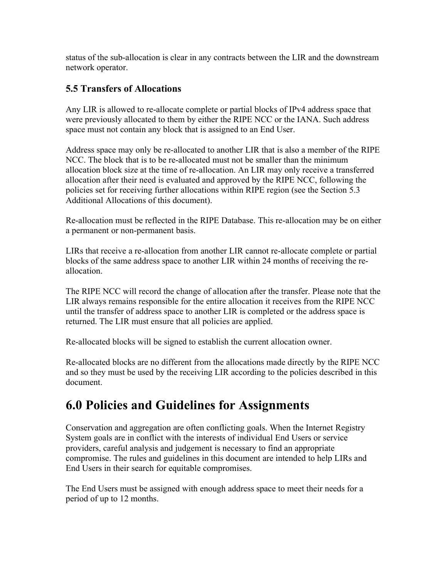status of the sub-allocation is clear in any contracts between the LIR and the downstream network operator.

#### <span id="page-6-1"></span>**5.5 Transfers of Allocations**

Any LIR is allowed to re-allocate complete or partial blocks of IPv4 address space that were previously allocated to them by either the RIPE NCC or the IANA. Such address space must not contain any block that is assigned to an End User.

Address space may only be re-allocated to another LIR that is also a member of the RIPE NCC. The block that is to be re-allocated must not be smaller than the minimum allocation block size at the time of re-allocation. An LIR may only receive a transferred allocation after their need is evaluated and approved by the RIPE NCC, following the policies set for receiving further allocations within RIPE region (see the Section 5.3 Additional Allocations of this document).

Re-allocation must be reflected in the RIPE Database. This re-allocation may be on either a permanent or non-permanent basis.

LIRs that receive a re-allocation from another LIR cannot re-allocate complete or partial blocks of the same address space to another LIR within 24 months of receiving the reallocation.

The RIPE NCC will record the change of allocation after the transfer. Please note that the LIR always remains responsible for the entire allocation it receives from the RIPE NCC until the transfer of address space to another LIR is completed or the address space is returned. The LIR must ensure that all policies are applied.

Re-allocated blocks will be signed to establish the current allocation owner.

Re-allocated blocks are no different from the allocations made directly by the RIPE NCC and so they must be used by the receiving LIR according to the policies described in this document.

### <span id="page-6-0"></span>**6.0 Policies and Guidelines for Assignments**

Conservation and aggregation are often conflicting goals. When the Internet Registry System goals are in conflict with the interests of individual End Users or service providers, careful analysis and judgement is necessary to find an appropriate compromise. The rules and guidelines in this document are intended to help LIRs and End Users in their search for equitable compromises.

The End Users must be assigned with enough address space to meet their needs for a period of up to 12 months.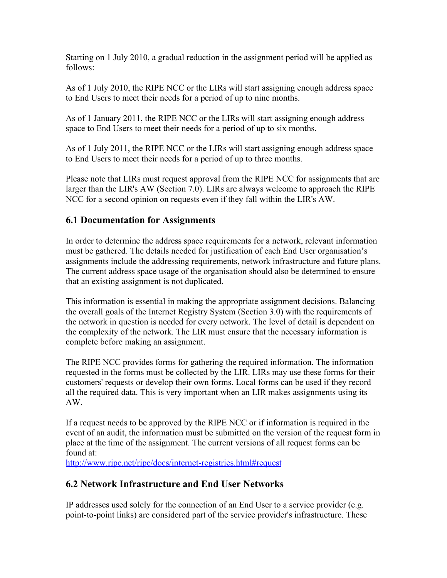Starting on 1 July 2010, a gradual reduction in the assignment period will be applied as follows:

As of 1 July 2010, the RIPE NCC or the LIRs will start assigning enough address space to End Users to meet their needs for a period of up to nine months.

As of 1 January 2011, the RIPE NCC or the LIRs will start assigning enough address space to End Users to meet their needs for a period of up to six months.

As of 1 July 2011, the RIPE NCC or the LIRs will start assigning enough address space to End Users to meet their needs for a period of up to three months.

Please note that LIRs must request approval from the RIPE NCC for assignments that are larger than the LIR's AW (Section 7.0). LIRs are always welcome to approach the RIPE NCC for a second opinion on requests even if they fall within the LIR's AW.

#### <span id="page-7-1"></span>**6.1 Documentation for Assignments**

In order to determine the address space requirements for a network, relevant information must be gathered. The details needed for justification of each End User organisation's assignments include the addressing requirements, network infrastructure and future plans. The current address space usage of the organisation should also be determined to ensure that an existing assignment is not duplicated.

This information is essential in making the appropriate assignment decisions. Balancing the overall goals of the Internet Registry System (Section 3.0) with the requirements of the network in question is needed for every network. The level of detail is dependent on the complexity of the network. The LIR must ensure that the necessary information is complete before making an assignment.

The RIPE NCC provides forms for gathering the required information. The information requested in the forms must be collected by the LIR. LIRs may use these forms for their customers' requests or develop their own forms. Local forms can be used if they record all the required data. This is very important when an LIR makes assignments using its AW.

If a request needs to be approved by the RIPE NCC or if information is required in the event of an audit, the information must be submitted on the version of the request form in place at the time of the assignment. The current versions of all request forms can be found at:

<http://www.ripe.net/ripe/docs/internet-registries.html#request>

#### <span id="page-7-0"></span>**6.2 Network Infrastructure and End User Networks**

IP addresses used solely for the connection of an End User to a service provider (e.g. point-to-point links) are considered part of the service provider's infrastructure. These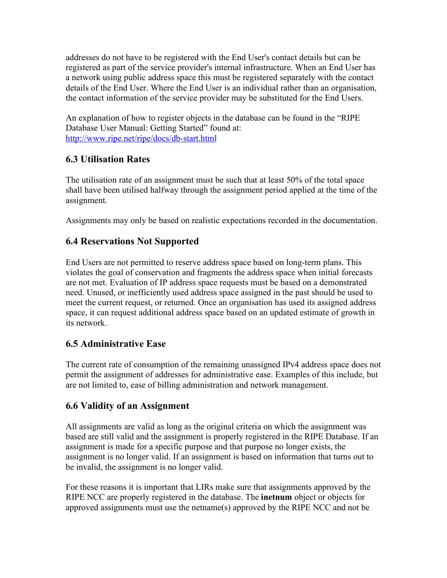addresses do not have to be registered with the End User's contact details but can be registered as part of the service provider's internal infrastructure. When an End User has a network using public address space this must be registered separately with the contact details of the End User. Where the End User is an individual rather than an organisation, the contact information of the service provider may be substituted for the End Users.

An explanation of how to register objects in the database can be found in the "RIPE Database User Manual: Getting Started" found at: <http://www.ripe.net/ripe/docs/db-start.html>

#### <span id="page-8-3"></span>**6.3 Utilisation Rates**

<span id="page-8-2"></span>The utilisation rate of an assignment must be such that at least 50% of the total space shall have been utilised halfway through the assignment period applied at the time of the assignment.

Assignments may only be based on realistic expectations recorded in the documentation.

#### **6.4 Reservations Not Supported**

End Users are not permitted to reserve address space based on long-term plans. This violates the goal of conservation and fragments the address space when initial forecasts are not met. Evaluation of IP address space requests must be based on a demonstrated need. Unused, or inefficiently used address space assigned in the past should be used to meet the current request, or returned. Once an organisation has used its assigned address space, it can request additional address space based on an updated estimate of growth in its network.

#### <span id="page-8-1"></span>**6.5 Administrative Ease**

The current rate of consumption of the remaining unassigned IPv4 address space does not permit the assignment of addresses for administrative ease. Examples of this include, but are not limited to, ease of billing administration and network management.

#### <span id="page-8-0"></span>**6.6 Validity of an Assignment**

All assignments are valid as long as the original criteria on which the assignment was based are still valid and the assignment is properly registered in the RIPE Database. If an assignment is made for a specific purpose and that purpose no longer exists, the assignment is no longer valid. If an assignment is based on information that turns out to be invalid, the assignment is no longer valid.

For these reasons it is important that LIRs make sure that assignments approved by the RIPE NCC are properly registered in the database. The **inetnum** object or objects for approved assignments must use the netname(s) approved by the RIPE NCC and not be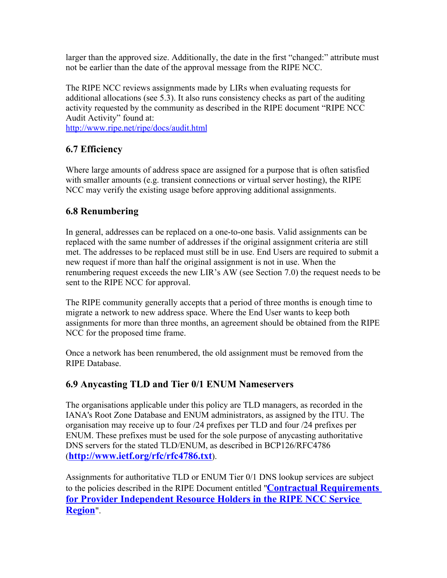larger than the approved size. Additionally, the date in the first "changed:" attribute must not be earlier than the date of the approval message from the RIPE NCC.

The RIPE NCC reviews assignments made by LIRs when evaluating requests for additional allocations (see 5.3). It also runs consistency checks as part of the auditing activity requested by the community as described in the RIPE document "RIPE NCC Audit Activity" found at:

<http://www.ripe.net/ripe/docs/audit.html>

#### <span id="page-9-2"></span>**6.7 Efficiency**

Where large amounts of address space are assigned for a purpose that is often satisfied with smaller amounts (e.g. transient connections or virtual server hosting), the RIPE NCC may verify the existing usage before approving additional assignments.

#### <span id="page-9-1"></span>**6.8 Renumbering**

In general, addresses can be replaced on a one-to-one basis. Valid assignments can be replaced with the same number of addresses if the original assignment criteria are still met. The addresses to be replaced must still be in use. End Users are required to submit a new request if more than half the original assignment is not in use. When the renumbering request exceeds the new LIR's AW (see Section 7.0) the request needs to be sent to the RIPE NCC for approval.

The RIPE community generally accepts that a period of three months is enough time to migrate a network to new address space. Where the End User wants to keep both assignments for more than three months, an agreement should be obtained from the RIPE NCC for the proposed time frame.

Once a network has been renumbered, the old assignment must be removed from the RIPE Database.

#### <span id="page-9-0"></span>**6.9 Anycasting TLD and Tier 0/1 ENUM Nameservers**

The organisations applicable under this policy are TLD managers, as recorded in the IANA's Root Zone Database and ENUM administrators, as assigned by the ITU. The organisation may receive up to four /24 prefixes per TLD and four /24 prefixes per ENUM. These prefixes must be used for the sole purpose of anycasting authoritative DNS servers for the stated TLD/ENUM, as described in BCP126/RFC4786 (**<http://www.ietf.org/rfc/rfc4786.txt>**).

Assignments for authoritative TLD or ENUM Tier 0/1 DNS lookup services are subject to the policies described in the RIPE Document entitled "**[Contractual Requirements](http://www.ripe.net/ripe/docs/contract-req.html) [for Provider Independent Resource Holders in the RIPE NCC Service](http://www.ripe.net/ripe/docs/contract-req.html) [Region](http://www.ripe.net/ripe/docs/contract-req.html)**".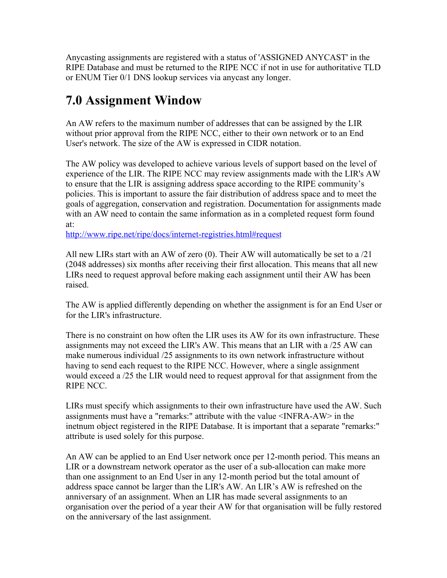Anycasting assignments are registered with a status of 'ASSIGNED ANYCAST' in the RIPE Database and must be returned to the RIPE NCC if not in use for authoritative TLD or ENUM Tier 0/1 DNS lookup services via anycast any longer.

## <span id="page-10-0"></span>**7.0 Assignment Window**

An AW refers to the maximum number of addresses that can be assigned by the LIR without prior approval from the RIPE NCC, either to their own network or to an End User's network. The size of the AW is expressed in CIDR notation.

The AW policy was developed to achieve various levels of support based on the level of experience of the LIR. The RIPE NCC may review assignments made with the LIR's AW to ensure that the LIR is assigning address space according to the RIPE community's policies. This is important to assure the fair distribution of address space and to meet the goals of aggregation, conservation and registration. Documentation for assignments made with an AW need to contain the same information as in a completed request form found at:

<http://www.ripe.net/ripe/docs/internet-registries.html#request>

All new LIRs start with an AW of zero (0). Their AW will automatically be set to a /21 (2048 addresses) six months after receiving their first allocation. This means that all new LIRs need to request approval before making each assignment until their AW has been raised.

The AW is applied differently depending on whether the assignment is for an End User or for the LIR's infrastructure.

There is no constraint on how often the LIR uses its AW for its own infrastructure. These assignments may not exceed the LIR's AW. This means that an LIR with a /25 AW can make numerous individual /25 assignments to its own network infrastructure without having to send each request to the RIPE NCC. However, where a single assignment would exceed a /25 the LIR would need to request approval for that assignment from the RIPE NCC.

LIRs must specify which assignments to their own infrastructure have used the AW. Such assignments must have a "remarks:" attribute with the value <INFRA-AW> in the inetnum object registered in the RIPE Database. It is important that a separate "remarks:" attribute is used solely for this purpose.

An AW can be applied to an End User network once per 12-month period. This means an LIR or a downstream network operator as the user of a sub-allocation can make more than one assignment to an End User in any 12-month period but the total amount of address space cannot be larger than the LIR's AW. An LIR's AW is refreshed on the anniversary of an assignment. When an LIR has made several assignments to an organisation over the period of a year their AW for that organisation will be fully restored on the anniversary of the last assignment.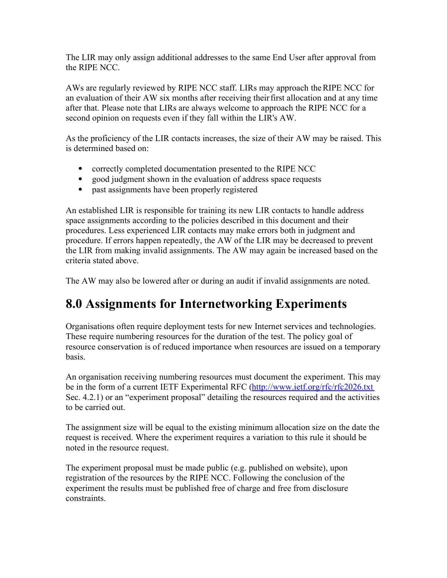The LIR may only assign additional addresses to the same End User after approval from the RIPE NCC.

AWs are regularly reviewed by RIPE NCC staff. LIRs may approach theRIPE NCC for an evaluation of their AW six months after receiving theirfirst allocation and at any time after that. Please note that LIRs are always welcome to approach the RIPE NCC for a second opinion on requests even if they fall within the LIR's AW.

As the proficiency of the LIR contacts increases, the size of their AW may be raised. This is determined based on:

- correctly completed documentation presented to the RIPE NCC
- good judgment shown in the evaluation of address space requests
- past assignments have been properly registered

An established LIR is responsible for training its new LIR contacts to handle address space assignments according to the policies described in this document and their procedures. Less experienced LIR contacts may make errors both in judgment and procedure. If errors happen repeatedly, the AW of the LIR may be decreased to prevent the LIR from making invalid assignments. The AW may again be increased based on the criteria stated above.

The AW may also be lowered after or during an audit if invalid assignments are noted.

## <span id="page-11-0"></span>**8.0 Assignments for Internetworking Experiments**

Organisations often require deployment tests for new Internet services and technologies. These require numbering resources for the duration of the test. The policy goal of resource conservation is of reduced importance when resources are issued on a temporary basis.

An organisation receiving numbering resources must document the experiment. This may be in the form of a current IETF Experimental RFC [\(http://www.ietf.org/rfc/rfc2026.txt](http://www.ietf.org/rfc/rfc2026.txt)) Sec. 4.2.1) or an "experiment proposal" detailing the resources required and the activities to be carried out.

The assignment size will be equal to the existing minimum allocation size on the date the request is received. Where the experiment requires a variation to this rule it should be noted in the resource request.

The experiment proposal must be made public (e.g. published on website), upon registration of the resources by the RIPE NCC. Following the conclusion of the experiment the results must be published free of charge and free from disclosure constraints.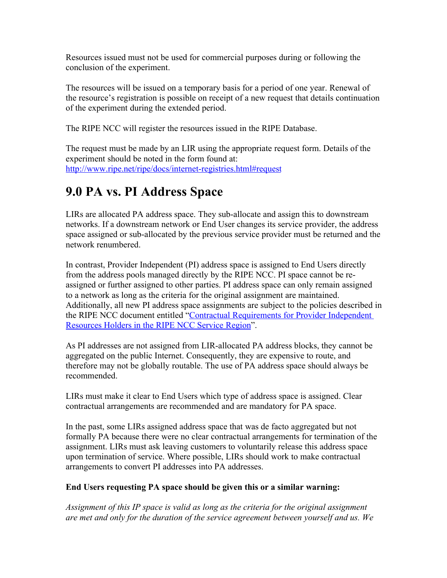Resources issued must not be used for commercial purposes during or following the conclusion of the experiment.

The resources will be issued on a temporary basis for a period of one year. Renewal of the resource's registration is possible on receipt of a new request that details continuation of the experiment during the extended period.

The RIPE NCC will register the resources issued in the RIPE Database.

The request must be made by an LIR using the appropriate request form. Details of the experiment should be noted in the form found at: <http://www.ripe.net/ripe/docs/internet-registries.html#request>

## <span id="page-12-0"></span>**9.0 PA vs. PI Address Space**

LIRs are allocated PA address space. They sub-allocate and assign this to downstream networks. If a downstream network or End User changes its service provider, the address space assigned or sub-allocated by the previous service provider must be returned and the network renumbered.

In contrast, Provider Independent (PI) address space is assigned to End Users directly from the address pools managed directly by the RIPE NCC. PI space cannot be reassigned or further assigned to other parties. PI address space can only remain assigned to a network as long as the criteria for the original assignment are maintained. Additionally, all new PI address space assignments are subject to the policies described in the RIPE NCC document entitled ["Contractual Requirements for Provider Independent](http://www.ripe.net/ripe/docs/contract-req.html) [Resources Holders in the RIPE NCC Service Region"](http://www.ripe.net/ripe/docs/contract-req.html).

As PI addresses are not assigned from LIR-allocated PA address blocks, they cannot be aggregated on the public Internet. Consequently, they are expensive to route, and therefore may not be globally routable. The use of PA address space should always be recommended.

LIRs must make it clear to End Users which type of address space is assigned. Clear contractual arrangements are recommended and are mandatory for PA space.

In the past, some LIRs assigned address space that was de facto aggregated but not formally PA because there were no clear contractual arrangements for termination of the assignment. LIRs must ask leaving customers to voluntarily release this address space upon termination of service. Where possible, LIRs should work to make contractual arrangements to convert PI addresses into PA addresses.

#### **End Users requesting PA space should be given this or a similar warning:**

*Assignment of this IP space is valid as long as the criteria for the original assignment are met and only for the duration of the service agreement between yourself and us. We*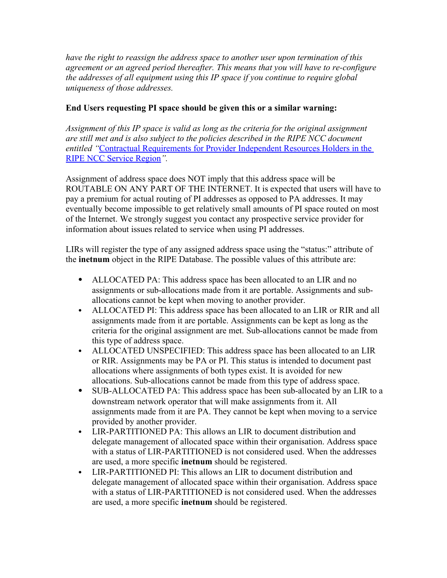*have the right to reassign the address space to another user upon termination of this agreement or an agreed period thereafter. This means that you will have to re-configure the addresses of all equipment using this IP space if you continue to require global uniqueness of those addresses.* 

#### **End Users requesting PI space should be given this or a similar warning:**

*Assignment of this IP space is valid as long as the criteria for the original assignment are still met and is also subject to the policies described in the RIPE NCC document entitled "*[Contractual Requirements for Provider Independent Resources Holders in the](http://www.ripe.net/ripe/docs/contract-req.html) [RIPE NCC Service Region](http://www.ripe.net/ripe/docs/contract-req.html)*".* 

Assignment of address space does NOT imply that this address space will be ROUTABLE ON ANY PART OF THE INTERNET. It is expected that users will have to pay a premium for actual routing of PI addresses as opposed to PA addresses. It may eventually become impossible to get relatively small amounts of PI space routed on most of the Internet. We strongly suggest you contact any prospective service provider for information about issues related to service when using PI addresses.

LIRs will register the type of any assigned address space using the "status:" attribute of the **inetnum** object in the RIPE Database. The possible values of this attribute are:

- ALLOCATED PA: This address space has been allocated to an LIR and no assignments or sub-allocations made from it are portable. Assignments and suballocations cannot be kept when moving to another provider.
- ALLOCATED PI: This address space has been allocated to an LIR or RIR and all assignments made from it are portable. Assignments can be kept as long as the criteria for the original assignment are met. Sub-allocations cannot be made from this type of address space.
- ALLOCATED UNSPECIFIED: This address space has been allocated to an LIR or RIR. Assignments may be PA or PI. This status is intended to document past allocations where assignments of both types exist. It is avoided for new allocations. Sub-allocations cannot be made from this type of address space.
- SUB-ALLOCATED PA: This address space has been sub-allocated by an LIR to a downstream network operator that will make assignments from it. All assignments made from it are PA. They cannot be kept when moving to a service provided by another provider.
- LIR-PARTITIONED PA: This allows an LIR to document distribution and delegate management of allocated space within their organisation. Address space with a status of LIR-PARTITIONED is not considered used. When the addresses are used, a more specific **inetnum** should be registered.
- LIR-PARTITIONED PI: This allows an LIR to document distribution and delegate management of allocated space within their organisation. Address space with a status of LIR-PARTITIONED is not considered used. When the addresses are used, a more specific **inetnum** should be registered.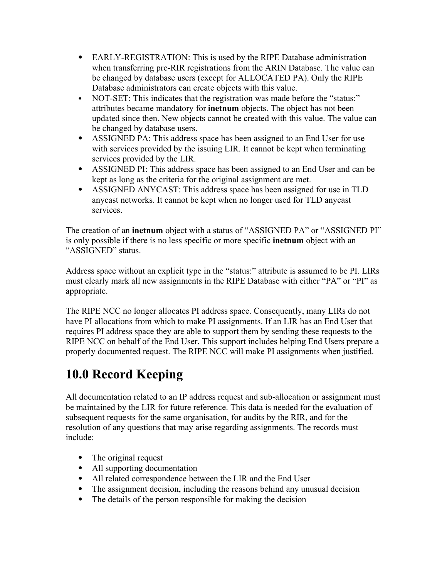- EARLY-REGISTRATION: This is used by the RIPE Database administration when transferring pre-RIR registrations from the ARIN Database. The value can be changed by database users (except for ALLOCATED PA). Only the RIPE Database administrators can create objects with this value.
- NOT-SET: This indicates that the registration was made before the "status:" attributes became mandatory for **inetnum** objects. The object has not been updated since then. New objects cannot be created with this value. The value can be changed by database users.
- ASSIGNED PA: This address space has been assigned to an End User for use with services provided by the issuing LIR. It cannot be kept when terminating services provided by the LIR.
- ASSIGNED PI: This address space has been assigned to an End User and can be kept as long as the criteria for the original assignment are met.
- ASSIGNED ANYCAST: This address space has been assigned for use in TLD anycast networks. It cannot be kept when no longer used for TLD anycast services.

The creation of an **inetnum** object with a status of "ASSIGNED PA" or "ASSIGNED PI" is only possible if there is no less specific or more specific **inetnum** object with an "ASSIGNED" status.

Address space without an explicit type in the "status:" attribute is assumed to be PI. LIRs must clearly mark all new assignments in the RIPE Database with either "PA" or "PI" as appropriate.

The RIPE NCC no longer allocates PI address space. Consequently, many LIRs do not have PI allocations from which to make PI assignments. If an LIR has an End User that requires PI address space they are able to support them by sending these requests to the RIPE NCC on behalf of the End User. This support includes helping End Users prepare a properly documented request. The RIPE NCC will make PI assignments when justified.

## <span id="page-14-0"></span>**10.0 Record Keeping**

All documentation related to an IP address request and sub-allocation or assignment must be maintained by the LIR for future reference. This data is needed for the evaluation of subsequent requests for the same organisation, for audits by the RIR, and for the resolution of any questions that may arise regarding assignments. The records must include:

- The original request
- All supporting documentation
- All related correspondence between the LIR and the End User
- The assignment decision, including the reasons behind any unusual decision
- The details of the person responsible for making the decision